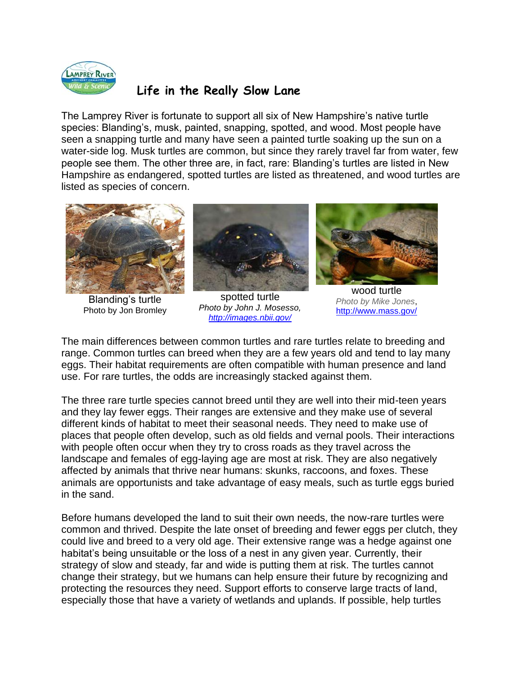

## **Life in the Really Slow Lane**

The Lamprey River is fortunate to support all six of New Hampshire's native turtle species: Blanding's, musk, painted, snapping, spotted, and wood. Most people have seen a snapping turtle and many have seen a painted turtle soaking up the sun on a water-side log. Musk turtles are common, but since they rarely travel far from water, few people see them. The other three are, in fact, rare: Blanding's turtles are listed in New Hampshire as endangered, spotted turtles are listed as threatened, and wood turtles are listed as species of concern.



Blanding's turtle Photo by Jon Bromley



*Photo by John J. Mosesso, <http://images.nbii.gov/>*



wood turtle *Photo by Mike Jones*, <http://www.mass.gov/>

The main differences between common turtles and rare turtles relate to breeding and range. Common turtles can breed when they are a few years old and tend to lay many eggs. Their habitat requirements are often compatible with human presence and land use. For rare turtles, the odds are increasingly stacked against them.

The three rare turtle species cannot breed until they are well into their mid-teen years and they lay fewer eggs. Their ranges are extensive and they make use of several different kinds of habitat to meet their seasonal needs. They need to make use of places that people often develop, such as old fields and vernal pools. Their interactions with people often occur when they try to cross roads as they travel across the landscape and females of egg-laying age are most at risk. They are also negatively affected by animals that thrive near humans: skunks, raccoons, and foxes. These animals are opportunists and take advantage of easy meals, such as turtle eggs buried in the sand.

Before humans developed the land to suit their own needs, the now-rare turtles were common and thrived. Despite the late onset of breeding and fewer eggs per clutch, they could live and breed to a very old age. Their extensive range was a hedge against one habitat's being unsuitable or the loss of a nest in any given year. Currently, their strategy of slow and steady, far and wide is putting them at risk. The turtles cannot change their strategy, but we humans can help ensure their future by recognizing and protecting the resources they need. Support efforts to conserve large tracts of land, especially those that have a variety of wetlands and uplands. If possible, help turtles